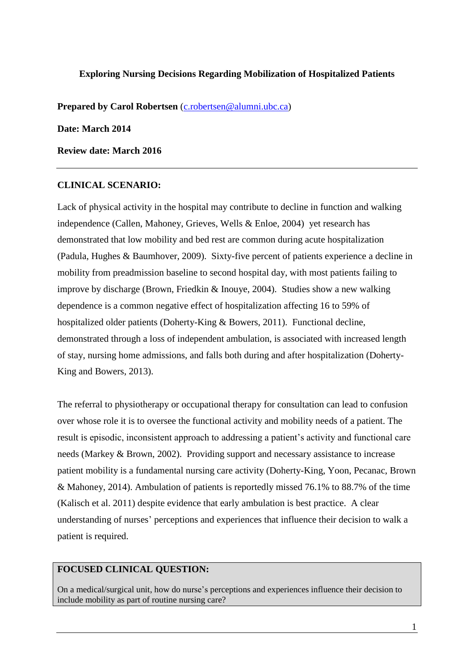#### **Exploring Nursing Decisions Regarding Mobilization of Hospitalized Patients**

**Prepared by Carol Robertsen** [\(c.robertsen@alumni.ubc.ca\)](mailto:c.robertsen@alumni.ubc.ca)

**Date: March 2014**

**Review date: March 2016**

#### **CLINICAL SCENARIO:**

Lack of physical activity in the hospital may contribute to decline in function and walking independence (Callen, Mahoney, Grieves, Wells & Enloe, 2004) yet research has demonstrated that low mobility and bed rest are common during acute hospitalization (Padula, Hughes & Baumhover, 2009). Sixty-five percent of patients experience a decline in mobility from preadmission baseline to second hospital day, with most patients failing to improve by discharge (Brown, Friedkin & Inouye, 2004). Studies show a new walking dependence is a common negative effect of hospitalization affecting 16 to 59% of hospitalized older patients (Doherty-King & Bowers, 2011). Functional decline, demonstrated through a loss of independent ambulation, is associated with increased length of stay, nursing home admissions, and falls both during and after hospitalization (Doherty-King and Bowers, 2013).

The referral to physiotherapy or occupational therapy for consultation can lead to confusion over whose role it is to oversee the functional activity and mobility needs of a patient. The result is episodic, inconsistent approach to addressing a patient's activity and functional care needs (Markey & Brown, 2002). Providing support and necessary assistance to increase patient mobility is a fundamental nursing care activity (Doherty-King, Yoon, Pecanac, Brown & Mahoney, 2014). Ambulation of patients is reportedly missed 76.1% to 88.7% of the time (Kalisch et al. 2011) despite evidence that early ambulation is best practice. A clear understanding of nurses' perceptions and experiences that influence their decision to walk a patient is required.

## **FOCUSED CLINICAL QUESTION:**

On a medical/surgical unit, how do nurse's perceptions and experiences influence their decision to include mobility as part of routine nursing care?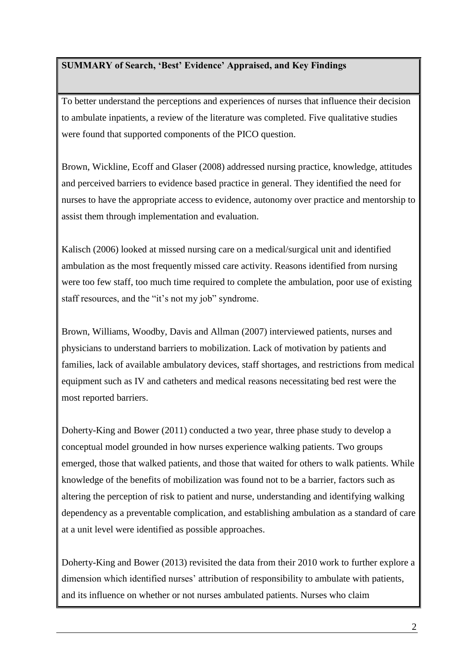# **SUMMARY of Search, 'Best' Evidence' Appraised, and Key Findings**

To better understand the perceptions and experiences of nurses that influence their decision to ambulate inpatients, a review of the literature was completed. Five qualitative studies were found that supported components of the PICO question.

Brown, Wickline, Ecoff and Glaser (2008) addressed nursing practice, knowledge, attitudes and perceived barriers to evidence based practice in general. They identified the need for nurses to have the appropriate access to evidence, autonomy over practice and mentorship to assist them through implementation and evaluation.

Kalisch (2006) looked at missed nursing care on a medical/surgical unit and identified ambulation as the most frequently missed care activity. Reasons identified from nursing were too few staff, too much time required to complete the ambulation, poor use of existing staff resources, and the "it's not my job" syndrome.

Brown, Williams, Woodby, Davis and Allman (2007) interviewed patients, nurses and physicians to understand barriers to mobilization. Lack of motivation by patients and families, lack of available ambulatory devices, staff shortages, and restrictions from medical equipment such as IV and catheters and medical reasons necessitating bed rest were the most reported barriers.

Doherty-King and Bower (2011) conducted a two year, three phase study to develop a conceptual model grounded in how nurses experience walking patients. Two groups emerged, those that walked patients, and those that waited for others to walk patients. While knowledge of the benefits of mobilization was found not to be a barrier, factors such as altering the perception of risk to patient and nurse, understanding and identifying walking dependency as a preventable complication, and establishing ambulation as a standard of care at a unit level were identified as possible approaches.

Doherty-King and Bower (2013) revisited the data from their 2010 work to further explore a dimension which identified nurses' attribution of responsibility to ambulate with patients, and its influence on whether or not nurses ambulated patients. Nurses who claim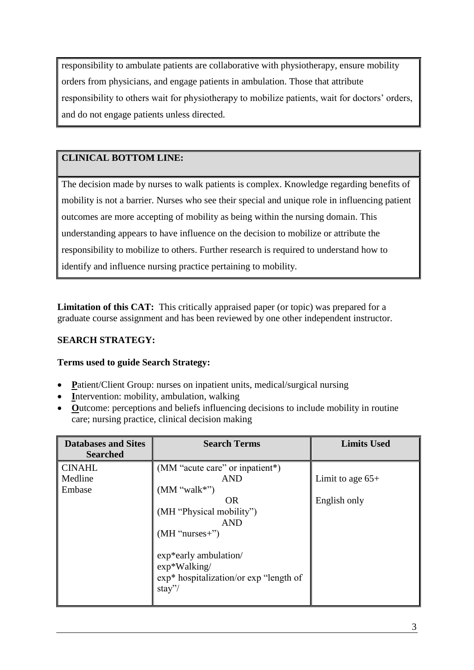responsibility to ambulate patients are collaborative with physiotherapy, ensure mobility orders from physicians, and engage patients in ambulation. Those that attribute responsibility to others wait for physiotherapy to mobilize patients, wait for doctors' orders, and do not engage patients unless directed.

# **CLINICAL BOTTOM LINE:**

The decision made by nurses to walk patients is complex. Knowledge regarding benefits of mobility is not a barrier. Nurses who see their special and unique role in influencing patient outcomes are more accepting of mobility as being within the nursing domain. This understanding appears to have influence on the decision to mobilize or attribute the responsibility to mobilize to others. Further research is required to understand how to identify and influence nursing practice pertaining to mobility.

**Limitation of this CAT:** This critically appraised paper (or topic) was prepared for a graduate course assignment and has been reviewed by one other independent instructor.

# **SEARCH STRATEGY:**

# **Terms used to guide Search Strategy:**

- Patient/Client Group: nurses on inpatient units, medical/surgical nursing
- Intervention: mobility, ambulation, walking
- Outcome: perceptions and beliefs influencing decisions to include mobility in routine care; nursing practice, clinical decision making

| <b>Databases and Sites</b> | <b>Search Terms</b>                                                                                | <b>Limits Used</b> |
|----------------------------|----------------------------------------------------------------------------------------------------|--------------------|
| <b>Searched</b>            |                                                                                                    |                    |
| <b>CINAHL</b>              | (MM "acute care" or inpatient*)                                                                    |                    |
| Medline                    | <b>AND</b>                                                                                         | Limit to age $65+$ |
| Embase                     | (MM "walk"")                                                                                       |                    |
|                            | OR                                                                                                 | English only       |
|                            | (MH "Physical mobility")                                                                           |                    |
|                            | <b>AND</b>                                                                                         |                    |
|                            | $(MH "nurses+")$                                                                                   |                    |
|                            | exp*early ambulation/<br>$exp*Walking/$<br>$\exp^*$ hospitalization/or $\exp$ "length of<br>stay"/ |                    |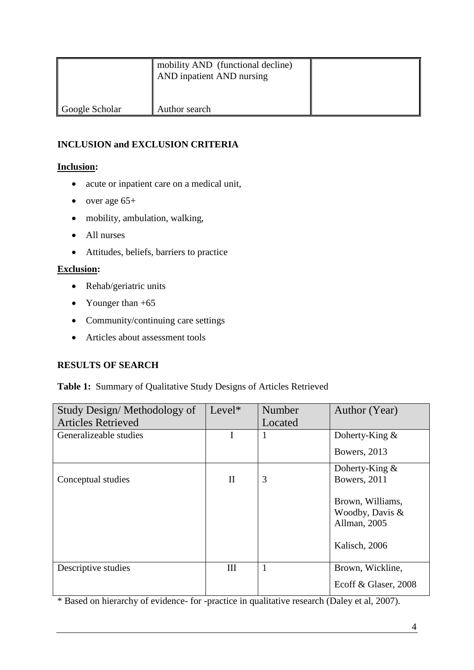|                | mobility AND (functional decline)<br>AND inpatient AND nursing |  |
|----------------|----------------------------------------------------------------|--|
| Google Scholar | Author search                                                  |  |

# **INCLUSION and EXCLUSION CRITERIA**

# **Inclusion:**

- acute or inpatient care on a medical unit,
- over age  $65+$
- mobility, ambulation, walking,
- All nurses
- Attitudes, beliefs, barriers to practice

# **Exclusion:**

- Rehab/geriatric units
- Younger than  $+65$
- Community/continuing care settings
- Articles about assessment tools

# **RESULTS OF SEARCH**

## **Table 1:** Summary of Qualitative Study Designs of Articles Retrieved

| Study Design/Methodology of | Level*       | Number       | Author (Year)                                                        |
|-----------------------------|--------------|--------------|----------------------------------------------------------------------|
| <b>Articles Retrieved</b>   |              | Located      |                                                                      |
| Generalizeable studies      | I            | 1            | Doherty-King $\&$                                                    |
|                             |              |              | Bowers, 2013                                                         |
|                             |              |              | Doherty-King $\&$                                                    |
| Conceptual studies          | $\mathbf{I}$ | 3            | Bowers, 2011                                                         |
|                             |              |              | Brown, Williams,<br>Woodby, Davis &<br>Allman, 2005<br>Kalisch, 2006 |
| Descriptive studies         | III          | $\mathbf{1}$ | Brown, Wickline,                                                     |
|                             |              |              | Ecoff & Glaser, 2008                                                 |

\* Based on hierarchy of evidence- for -practice in qualitative research (Daley et al, 2007).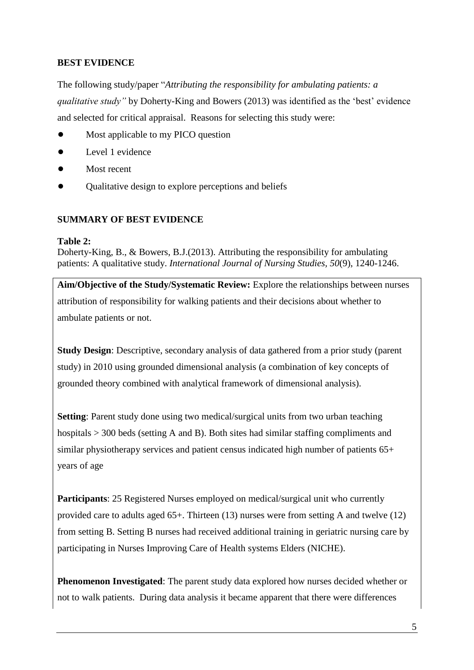# **BEST EVIDENCE**

The following study/paper "*Attributing the responsibility for ambulating patients: a qualitative study"* by Doherty-King and Bowers (2013) was identified as the 'best' evidence and selected for critical appraisal. Reasons for selecting this study were:

- **•** Most applicable to my PICO question
- **•** Level 1 evidence
- **•** Most recent
- **•** Qualitative design to explore perceptions and beliefs

## **SUMMARY OF BEST EVIDENCE**

#### **Table 2:**

Doherty-King, B., & Bowers, B.J.(2013). Attributing the responsibility for ambulating patients: A qualitative study. *International Journal of Nursing Studies, 50*(9), 1240-1246.

**Aim/Objective of the Study/Systematic Review:** Explore the relationships between nurses attribution of responsibility for walking patients and their decisions about whether to ambulate patients or not.

**Study Design**: Descriptive, secondary analysis of data gathered from a prior study (parent study) in 2010 using grounded dimensional analysis (a combination of key concepts of grounded theory combined with analytical framework of dimensional analysis).

**Setting**: Parent study done using two medical/surgical units from two urban teaching hospitals > 300 beds (setting A and B). Both sites had similar staffing compliments and similar physiotherapy services and patient census indicated high number of patients 65+ years of age

**Participants**: 25 Registered Nurses employed on medical/surgical unit who currently provided care to adults aged 65+. Thirteen (13) nurses were from setting A and twelve (12) from setting B. Setting B nurses had received additional training in geriatric nursing care by participating in Nurses Improving Care of Health systems Elders (NICHE).

**Phenomenon Investigated**: The parent study data explored how nurses decided whether or not to walk patients. During data analysis it became apparent that there were differences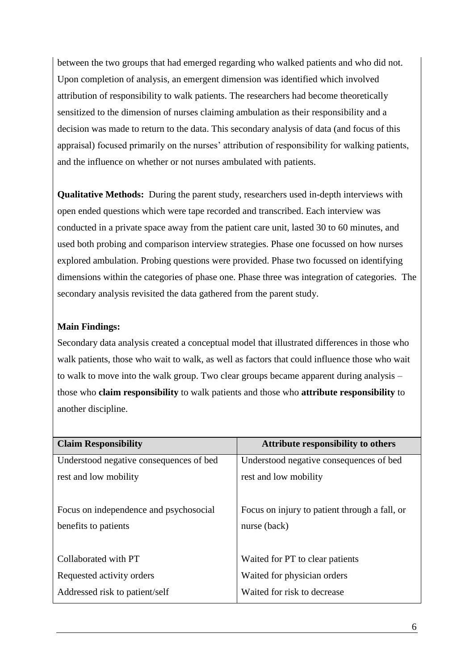between the two groups that had emerged regarding who walked patients and who did not. Upon completion of analysis, an emergent dimension was identified which involved attribution of responsibility to walk patients. The researchers had become theoretically sensitized to the dimension of nurses claiming ambulation as their responsibility and a decision was made to return to the data. This secondary analysis of data (and focus of this appraisal) focused primarily on the nurses' attribution of responsibility for walking patients, and the influence on whether or not nurses ambulated with patients.

**Qualitative Methods:** During the parent study, researchers used in-depth interviews with open ended questions which were tape recorded and transcribed. Each interview was conducted in a private space away from the patient care unit, lasted 30 to 60 minutes, and used both probing and comparison interview strategies. Phase one focussed on how nurses explored ambulation. Probing questions were provided. Phase two focussed on identifying dimensions within the categories of phase one. Phase three was integration of categories. The secondary analysis revisited the data gathered from the parent study.

## **Main Findings:**

Secondary data analysis created a conceptual model that illustrated differences in those who walk patients, those who wait to walk, as well as factors that could influence those who wait to walk to move into the walk group. Two clear groups became apparent during analysis – those who **claim responsibility** to walk patients and those who **attribute responsibility** to another discipline.

| <b>Claim Responsibility</b>             | <b>Attribute responsibility to others</b>     |  |  |
|-----------------------------------------|-----------------------------------------------|--|--|
| Understood negative consequences of bed | Understood negative consequences of bed       |  |  |
| rest and low mobility                   | rest and low mobility                         |  |  |
|                                         |                                               |  |  |
| Focus on independence and psychosocial  | Focus on injury to patient through a fall, or |  |  |
| benefits to patients                    | nurse (back)                                  |  |  |
|                                         |                                               |  |  |
| Collaborated with PT                    | Waited for PT to clear patients               |  |  |
| Requested activity orders               | Waited for physician orders                   |  |  |
| Addressed risk to patient/self          | Waited for risk to decrease                   |  |  |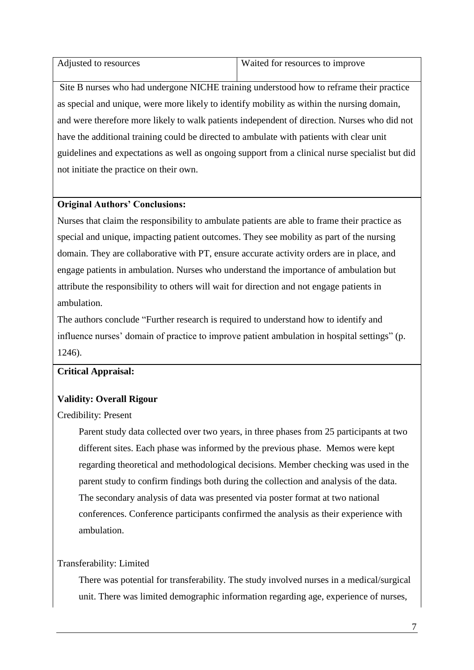| Adjusted to resources | Waited for resources to improve |
|-----------------------|---------------------------------|

Site B nurses who had undergone NICHE training understood how to reframe their practice as special and unique, were more likely to identify mobility as within the nursing domain, and were therefore more likely to walk patients independent of direction. Nurses who did not have the additional training could be directed to ambulate with patients with clear unit guidelines and expectations as well as ongoing support from a clinical nurse specialist but did not initiate the practice on their own.

## **Original Authors' Conclusions:**

Nurses that claim the responsibility to ambulate patients are able to frame their practice as special and unique, impacting patient outcomes. They see mobility as part of the nursing domain. They are collaborative with PT, ensure accurate activity orders are in place, and engage patients in ambulation. Nurses who understand the importance of ambulation but attribute the responsibility to others will wait for direction and not engage patients in ambulation.

The authors conclude "Further research is required to understand how to identify and influence nurses' domain of practice to improve patient ambulation in hospital settings" (p. 1246).

## **Critical Appraisal:**

## **Validity: Overall Rigour**

#### Credibility: Present

Parent study data collected over two years, in three phases from 25 participants at two different sites. Each phase was informed by the previous phase. Memos were kept regarding theoretical and methodological decisions. Member checking was used in the parent study to confirm findings both during the collection and analysis of the data. The secondary analysis of data was presented via poster format at two national conferences. Conference participants confirmed the analysis as their experience with ambulation.

## Transferability: Limited

There was potential for transferability. The study involved nurses in a medical/surgical unit. There was limited demographic information regarding age, experience of nurses,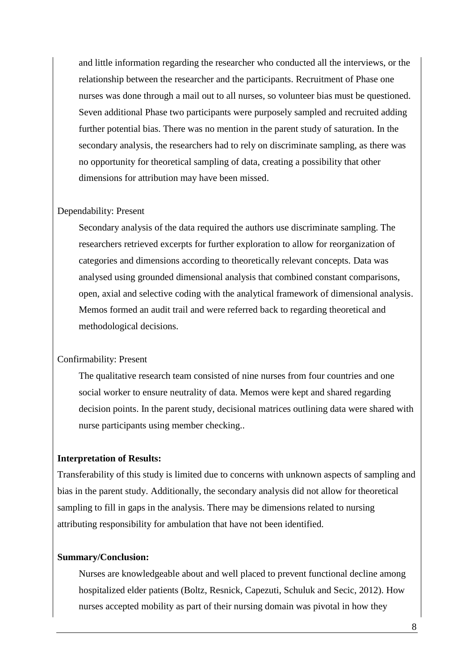and little information regarding the researcher who conducted all the interviews, or the relationship between the researcher and the participants. Recruitment of Phase one nurses was done through a mail out to all nurses, so volunteer bias must be questioned. Seven additional Phase two participants were purposely sampled and recruited adding further potential bias. There was no mention in the parent study of saturation. In the secondary analysis, the researchers had to rely on discriminate sampling, as there was no opportunity for theoretical sampling of data, creating a possibility that other dimensions for attribution may have been missed.

#### Dependability: Present

Secondary analysis of the data required the authors use discriminate sampling. The researchers retrieved excerpts for further exploration to allow for reorganization of categories and dimensions according to theoretically relevant concepts. Data was analysed using grounded dimensional analysis that combined constant comparisons, open, axial and selective coding with the analytical framework of dimensional analysis. Memos formed an audit trail and were referred back to regarding theoretical and methodological decisions.

#### Confirmability: Present

The qualitative research team consisted of nine nurses from four countries and one social worker to ensure neutrality of data. Memos were kept and shared regarding decision points. In the parent study, decisional matrices outlining data were shared with nurse participants using member checking..

#### **Interpretation of Results:**

Transferability of this study is limited due to concerns with unknown aspects of sampling and bias in the parent study. Additionally, the secondary analysis did not allow for theoretical sampling to fill in gaps in the analysis. There may be dimensions related to nursing attributing responsibility for ambulation that have not been identified.

#### **Summary/Conclusion:**

Nurses are knowledgeable about and well placed to prevent functional decline among hospitalized elder patients (Boltz, Resnick, Capezuti, Schuluk and Secic, 2012). How nurses accepted mobility as part of their nursing domain was pivotal in how they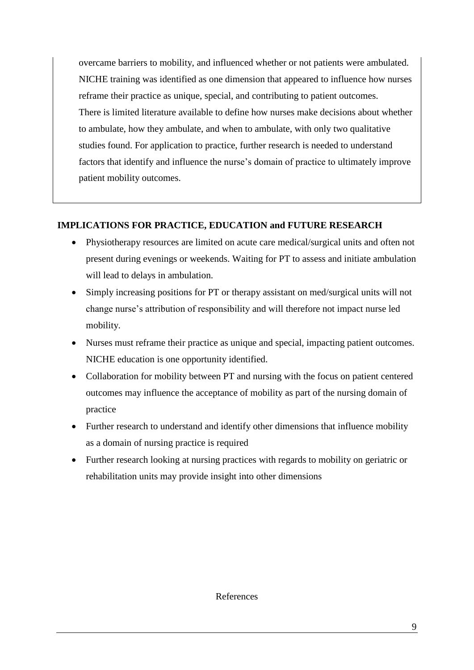overcame barriers to mobility, and influenced whether or not patients were ambulated. NICHE training was identified as one dimension that appeared to influence how nurses reframe their practice as unique, special, and contributing to patient outcomes. There is limited literature available to define how nurses make decisions about whether to ambulate, how they ambulate, and when to ambulate, with only two qualitative studies found. For application to practice, further research is needed to understand factors that identify and influence the nurse's domain of practice to ultimately improve patient mobility outcomes.

# **IMPLICATIONS FOR PRACTICE, EDUCATION and FUTURE RESEARCH**

- Physiotherapy resources are limited on acute care medical/surgical units and often not present during evenings or weekends. Waiting for PT to assess and initiate ambulation will lead to delays in ambulation.
- Simply increasing positions for PT or therapy assistant on med/surgical units will not change nurse's attribution of responsibility and will therefore not impact nurse led mobility.
- Nurses must reframe their practice as unique and special, impacting patient outcomes. NICHE education is one opportunity identified.
- Collaboration for mobility between PT and nursing with the focus on patient centered outcomes may influence the acceptance of mobility as part of the nursing domain of practice
- Further research to understand and identify other dimensions that influence mobility as a domain of nursing practice is required
- Further research looking at nursing practices with regards to mobility on geriatric or rehabilitation units may provide insight into other dimensions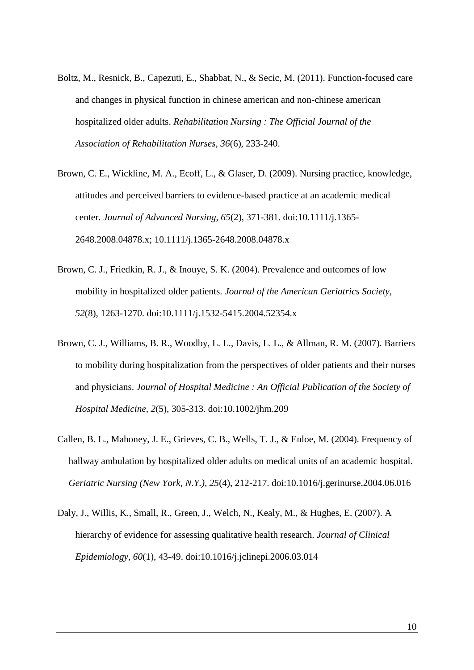- Boltz, M., Resnick, B., Capezuti, E., Shabbat, N., & Secic, M. (2011). Function-focused care and changes in physical function in chinese american and non-chinese american hospitalized older adults. *Rehabilitation Nursing : The Official Journal of the Association of Rehabilitation Nurses, 36*(6), 233-240.
- Brown, C. E., Wickline, M. A., Ecoff, L., & Glaser, D. (2009). Nursing practice, knowledge, attitudes and perceived barriers to evidence-based practice at an academic medical center. *Journal of Advanced Nursing, 65*(2), 371-381. doi:10.1111/j.1365- 2648.2008.04878.x; 10.1111/j.1365-2648.2008.04878.x
- Brown, C. J., Friedkin, R. J., & Inouye, S. K. (2004). Prevalence and outcomes of low mobility in hospitalized older patients. *Journal of the American Geriatrics Society, 52*(8), 1263-1270. doi:10.1111/j.1532-5415.2004.52354.x
- Brown, C. J., Williams, B. R., Woodby, L. L., Davis, L. L., & Allman, R. M. (2007). Barriers to mobility during hospitalization from the perspectives of older patients and their nurses and physicians. *Journal of Hospital Medicine : An Official Publication of the Society of Hospital Medicine, 2*(5), 305-313. doi:10.1002/jhm.209
- Callen, B. L., Mahoney, J. E., Grieves, C. B., Wells, T. J., & Enloe, M. (2004). Frequency of hallway ambulation by hospitalized older adults on medical units of an academic hospital. *Geriatric Nursing (New York, N.Y.), 25*(4), 212-217. doi:10.1016/j.gerinurse.2004.06.016
- Daly, J., Willis, K., Small, R., Green, J., Welch, N., Kealy, M., & Hughes, E. (2007). A hierarchy of evidence for assessing qualitative health research. *Journal of Clinical Epidemiology, 60*(1), 43-49. doi:10.1016/j.jclinepi.2006.03.014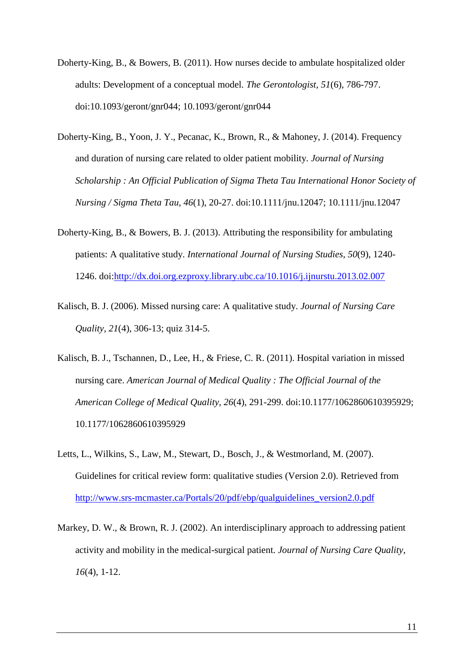- Doherty-King, B., & Bowers, B. (2011). How nurses decide to ambulate hospitalized older adults: Development of a conceptual model. *The Gerontologist, 51*(6), 786-797. doi:10.1093/geront/gnr044; 10.1093/geront/gnr044
- Doherty-King, B., Yoon, J. Y., Pecanac, K., Brown, R., & Mahoney, J. (2014). Frequency and duration of nursing care related to older patient mobility. *Journal of Nursing Scholarship : An Official Publication of Sigma Theta Tau International Honor Society of Nursing / Sigma Theta Tau, 46*(1), 20-27. doi:10.1111/jnu.12047; 10.1111/jnu.12047
- Doherty-King, B., & Bowers, B. J. (2013). Attributing the responsibility for ambulating patients: A qualitative study. *International Journal of Nursing Studies, 50*(9), 1240- 1246. doi[:http://dx.doi.org.ezproxy.library.ubc.ca/10.1016/j.ijnurstu.2013.02.007](http://dx.doi.org.ezproxy.library.ubc.ca/10.1016/j.ijnurstu.2013.02.007)
- Kalisch, B. J. (2006). Missed nursing care: A qualitative study. *Journal of Nursing Care Quality, 21*(4), 306-13; quiz 314-5.
- Kalisch, B. J., Tschannen, D., Lee, H., & Friese, C. R. (2011). Hospital variation in missed nursing care. *American Journal of Medical Quality : The Official Journal of the American College of Medical Quality, 26*(4), 291-299. doi:10.1177/1062860610395929; 10.1177/1062860610395929
- Letts, L., Wilkins, S., Law, M., Stewart, D., Bosch, J., & Westmorland, M. (2007). Guidelines for critical review form: qualitative studies (Version 2.0). Retrieved from [http://www.srs-mcmaster.ca/Portals/20/pdf/ebp/qualguidelines\\_version2.0.pdf](http://www.srs-mcmaster.ca/Portals/20/pdf/ebp/qualguidelines_version2.0.pdf)
- Markey, D. W., & Brown, R. J. (2002). An interdisciplinary approach to addressing patient activity and mobility in the medical-surgical patient. *Journal of Nursing Care Quality, 16*(4), 1-12.